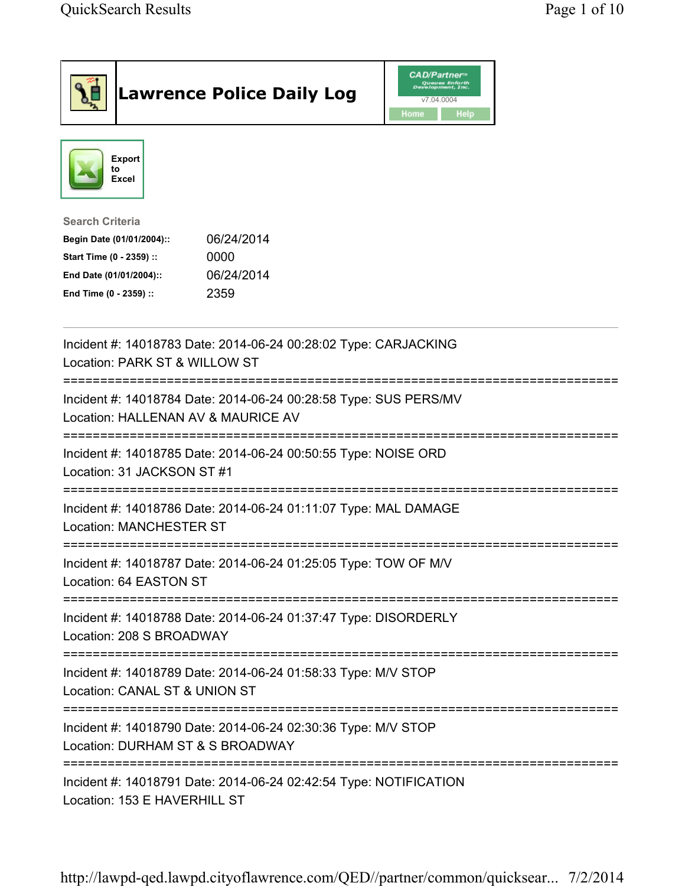| <b>Lawrence Police Daily Log</b>                                                                                                                                                 | <b>CAD/Partner</b> "<br>Queues Enforth<br>Development, Inc.<br>v7.04.0004<br>Home<br>Help |
|----------------------------------------------------------------------------------------------------------------------------------------------------------------------------------|-------------------------------------------------------------------------------------------|
| <b>Export</b><br>to<br>Excel                                                                                                                                                     |                                                                                           |
| <b>Search Criteria</b><br>06/24/2014<br>Begin Date (01/01/2004)::<br>Start Time (0 - 2359) ::<br>0000<br>06/24/2014<br>End Date (01/01/2004)::<br>2359<br>End Time (0 - 2359) :: |                                                                                           |
| Incident #: 14018783 Date: 2014-06-24 00:28:02 Type: CARJACKING<br>Location: PARK ST & WILLOW ST                                                                                 |                                                                                           |
| Incident #: 14018784 Date: 2014-06-24 00:28:58 Type: SUS PERS/MV<br>Location: HALLENAN AV & MAURICE AV                                                                           |                                                                                           |
| Incident #: 14018785 Date: 2014-06-24 00:50:55 Type: NOISE ORD<br>Location: 31 JACKSON ST #1                                                                                     |                                                                                           |
| Incident #: 14018786 Date: 2014-06-24 01:11:07 Type: MAL DAMAGE<br><b>Location: MANCHESTER ST</b>                                                                                |                                                                                           |
| Incident #: 14018787 Date: 2014-06-24 01:25:05 Type: TOW OF M/V<br>Location: 64 EASTON ST                                                                                        |                                                                                           |
| Incident #: 14018788 Date: 2014-06-24 01:37:47 Type: DISORDERLY<br>Location: 208 S BROADWAY                                                                                      |                                                                                           |
| Incident #: 14018789 Date: 2014-06-24 01:58:33 Type: M/V STOP<br>Location: CANAL ST & UNION ST                                                                                   |                                                                                           |
| Incident #: 14018790 Date: 2014-06-24 02:30:36 Type: M/V STOP<br>Location: DURHAM ST & S BROADWAY                                                                                |                                                                                           |
| Incident #: 14018791 Date: 2014-06-24 02:42:54 Type: NOTIFICATION<br>Location: 153 E HAVERHILL ST                                                                                |                                                                                           |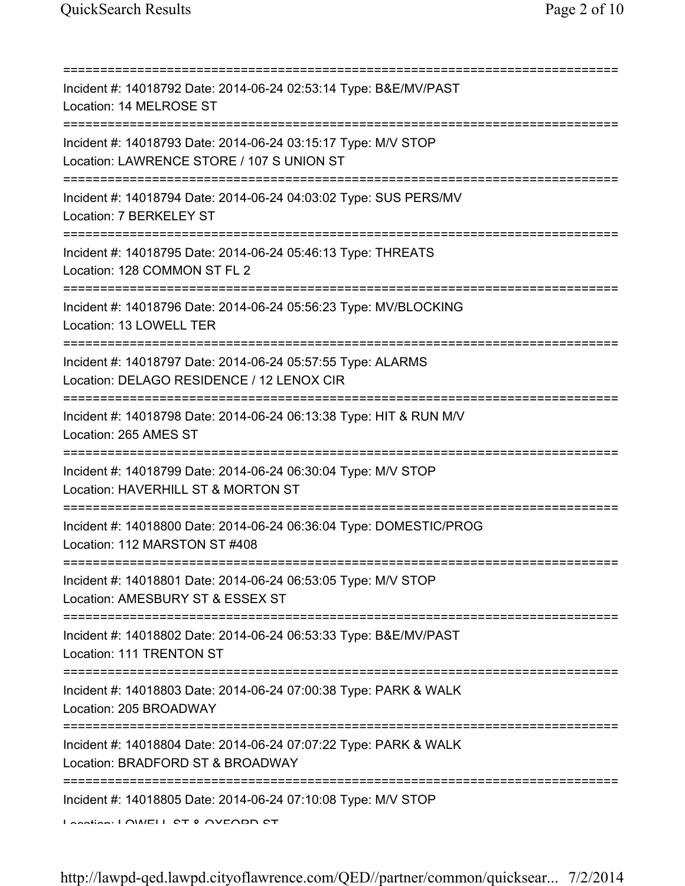=========================================================================== Incident #: 14018792 Date: 2014-06-24 02:53:14 Type: B&E/MV/PAST Location: 14 MELROSE ST =========================================================================== Incident #: 14018793 Date: 2014-06-24 03:15:17 Type: M/V STOP Location: LAWRENCE STORE / 107 S UNION ST =========================================================================== Incident #: 14018794 Date: 2014-06-24 04:03:02 Type: SUS PERS/MV Location: 7 BERKELEY ST =========================================================================== Incident #: 14018795 Date: 2014-06-24 05:46:13 Type: THREATS Location: 128 COMMON ST FL 2 =========================================================================== Incident #: 14018796 Date: 2014-06-24 05:56:23 Type: MV/BLOCKING Location: 13 LOWELL TER =========================================================================== Incident #: 14018797 Date: 2014-06-24 05:57:55 Type: ALARMS Location: DELAGO RESIDENCE / 12 LENOX CIR =========================================================================== Incident #: 14018798 Date: 2014-06-24 06:13:38 Type: HIT & RUN M/V Location: 265 AMES ST =========================================================================== Incident #: 14018799 Date: 2014-06-24 06:30:04 Type: M/V STOP Location: HAVERHILL ST & MORTON ST =========================================================================== Incident #: 14018800 Date: 2014-06-24 06:36:04 Type: DOMESTIC/PROG Location: 112 MARSTON ST #408 =========================================================================== Incident #: 14018801 Date: 2014-06-24 06:53:05 Type: M/V STOP Location: AMESBURY ST & ESSEX ST =========================================================================== Incident #: 14018802 Date: 2014-06-24 06:53:33 Type: B&E/MV/PAST Location: 111 TRENTON ST =========================================================================== Incident #: 14018803 Date: 2014-06-24 07:00:38 Type: PARK & WALK Location: 205 BROADWAY =========================================================================== Incident #: 14018804 Date: 2014-06-24 07:07:22 Type: PARK & WALK Location: BRADFORD ST & BROADWAY =========================================================================== Incident #: 14018805 Date: 2014-06-24 07:10:08 Type: M/V STOP Location: LOWELL ST & OVEODD ST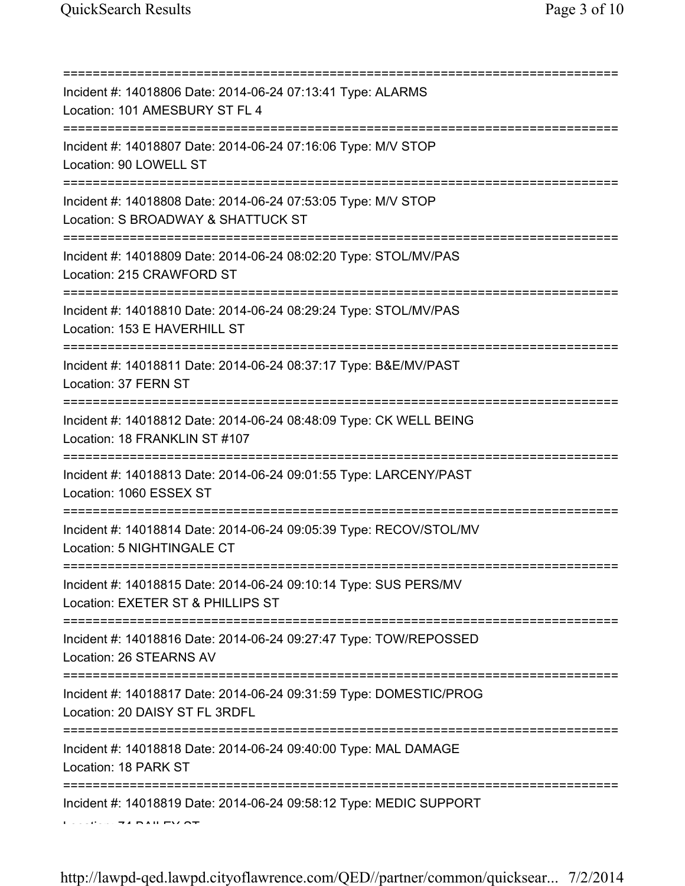| Incident #: 14018806 Date: 2014-06-24 07:13:41 Type: ALARMS<br>Location: 101 AMESBURY ST FL 4                                                             |
|-----------------------------------------------------------------------------------------------------------------------------------------------------------|
| :==========================<br>Incident #: 14018807 Date: 2014-06-24 07:16:06 Type: M/V STOP<br>Location: 90 LOWELL ST<br>=============================== |
| Incident #: 14018808 Date: 2014-06-24 07:53:05 Type: M/V STOP<br>Location: S BROADWAY & SHATTUCK ST                                                       |
| Incident #: 14018809 Date: 2014-06-24 08:02:20 Type: STOL/MV/PAS<br>Location: 215 CRAWFORD ST                                                             |
| Incident #: 14018810 Date: 2014-06-24 08:29:24 Type: STOL/MV/PAS<br>Location: 153 E HAVERHILL ST                                                          |
| Incident #: 14018811 Date: 2014-06-24 08:37:17 Type: B&E/MV/PAST<br>Location: 37 FERN ST                                                                  |
| Incident #: 14018812 Date: 2014-06-24 08:48:09 Type: CK WELL BEING<br>Location: 18 FRANKLIN ST #107                                                       |
| Incident #: 14018813 Date: 2014-06-24 09:01:55 Type: LARCENY/PAST<br>Location: 1060 ESSEX ST                                                              |
| Incident #: 14018814 Date: 2014-06-24 09:05:39 Type: RECOV/STOL/MV<br>Location: 5 NIGHTINGALE CT                                                          |
| Incident #: 14018815 Date: 2014-06-24 09:10:14 Type: SUS PERS/MV<br>Location: EXETER ST & PHILLIPS ST                                                     |
| Incident #: 14018816 Date: 2014-06-24 09:27:47 Type: TOW/REPOSSED<br>Location: 26 STEARNS AV                                                              |
| Incident #: 14018817 Date: 2014-06-24 09:31:59 Type: DOMESTIC/PROG<br>Location: 20 DAISY ST FL 3RDFL                                                      |
| Incident #: 14018818 Date: 2014-06-24 09:40:00 Type: MAL DAMAGE<br>Location: 18 PARK ST                                                                   |
| Incident #: 14018819 Date: 2014-06-24 09:58:12 Type: MEDIC SUPPORT                                                                                        |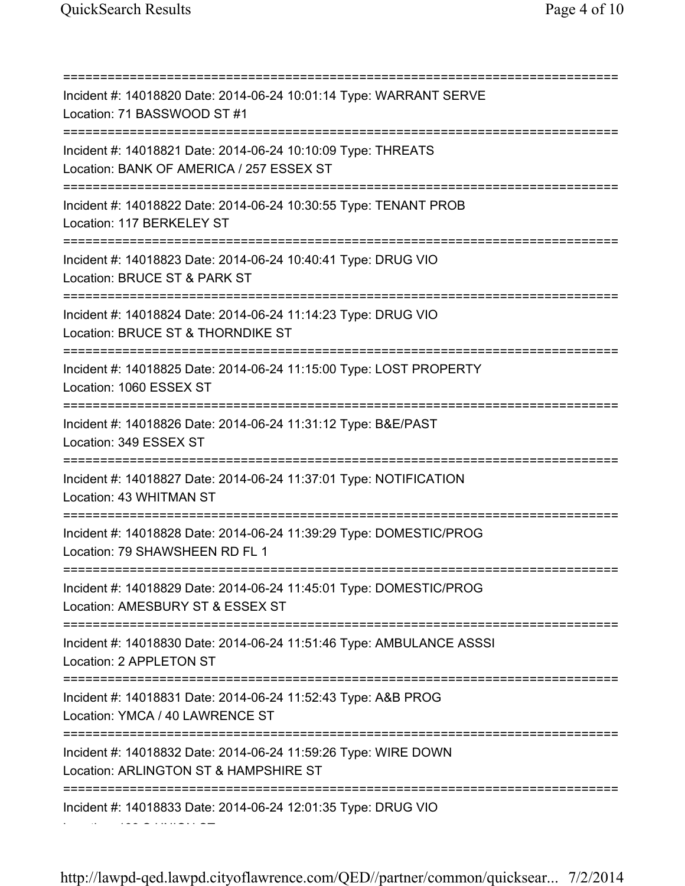=========================================================================== Incident #: 14018820 Date: 2014-06-24 10:01:14 Type: WARRANT SERVE Location: 71 BASSWOOD ST #1 =========================================================================== Incident #: 14018821 Date: 2014-06-24 10:10:09 Type: THREATS Location: BANK OF AMERICA / 257 ESSEX ST =========================================================================== Incident #: 14018822 Date: 2014-06-24 10:30:55 Type: TENANT PROB Location: 117 BERKELEY ST =========================================================================== Incident #: 14018823 Date: 2014-06-24 10:40:41 Type: DRUG VIO Location: BRUCE ST & PARK ST =========================================================================== Incident #: 14018824 Date: 2014-06-24 11:14:23 Type: DRUG VIO Location: BRUCE ST & THORNDIKE ST =========================================================================== Incident #: 14018825 Date: 2014-06-24 11:15:00 Type: LOST PROPERTY Location: 1060 ESSEX ST =========================================================================== Incident #: 14018826 Date: 2014-06-24 11:31:12 Type: B&E/PAST Location: 349 ESSEX ST =========================================================================== Incident #: 14018827 Date: 2014-06-24 11:37:01 Type: NOTIFICATION Location: 43 WHITMAN ST =========================================================================== Incident #: 14018828 Date: 2014-06-24 11:39:29 Type: DOMESTIC/PROG Location: 79 SHAWSHEEN RD FL 1 =========================================================================== Incident #: 14018829 Date: 2014-06-24 11:45:01 Type: DOMESTIC/PROG Location: AMESBURY ST & ESSEX ST =========================================================================== Incident #: 14018830 Date: 2014-06-24 11:51:46 Type: AMBULANCE ASSSI Location: 2 APPLETON ST =========================================================================== Incident #: 14018831 Date: 2014-06-24 11:52:43 Type: A&B PROG Location: YMCA / 40 LAWRENCE ST =========================================================================== Incident #: 14018832 Date: 2014-06-24 11:59:26 Type: WIRE DOWN Location: ARLINGTON ST & HAMPSHIRE ST =========================================================================== Incident #: 14018833 Date: 2014-06-24 12:01:35 Type: DRUG VIO Location: 138 S UNION ST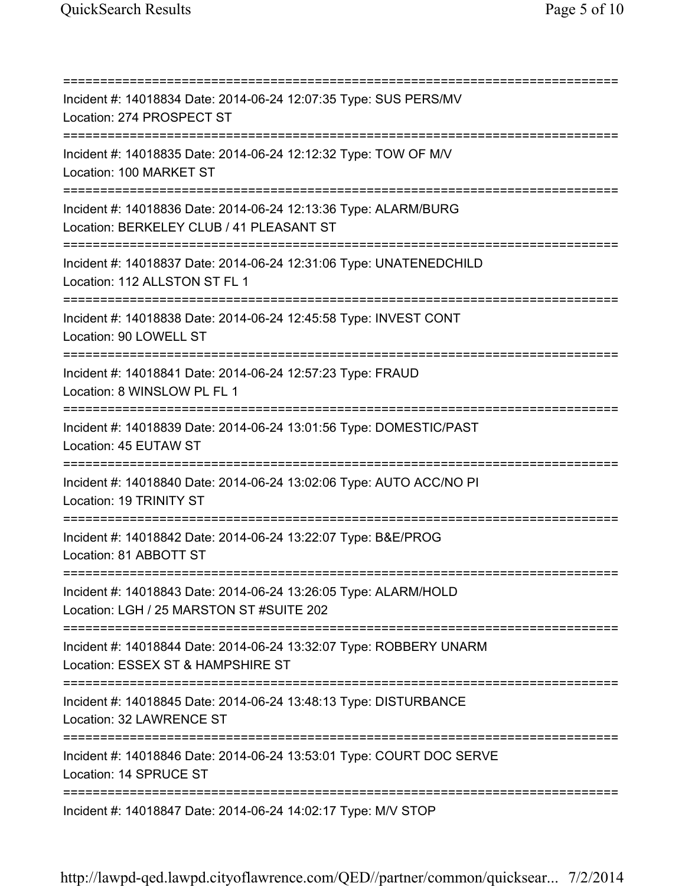=========================================================================== Incident #: 14018834 Date: 2014-06-24 12:07:35 Type: SUS PERS/MV Location: 274 PROSPECT ST =========================================================================== Incident #: 14018835 Date: 2014-06-24 12:12:32 Type: TOW OF M/V Location: 100 MARKET ST =========================================================================== Incident #: 14018836 Date: 2014-06-24 12:13:36 Type: ALARM/BURG Location: BERKELEY CLUB / 41 PLEASANT ST =========================================================================== Incident #: 14018837 Date: 2014-06-24 12:31:06 Type: UNATENEDCHILD Location: 112 ALLSTON ST FL 1 =========================================================================== Incident #: 14018838 Date: 2014-06-24 12:45:58 Type: INVEST CONT Location: 90 LOWELL ST =========================================================================== Incident #: 14018841 Date: 2014-06-24 12:57:23 Type: FRAUD Location: 8 WINSLOW PL FL 1 =========================================================================== Incident #: 14018839 Date: 2014-06-24 13:01:56 Type: DOMESTIC/PAST Location: 45 EUTAW ST =========================================================================== Incident #: 14018840 Date: 2014-06-24 13:02:06 Type: AUTO ACC/NO PI Location: 19 TRINITY ST =========================================================================== Incident #: 14018842 Date: 2014-06-24 13:22:07 Type: B&E/PROG Location: 81 ABBOTT ST =========================================================================== Incident #: 14018843 Date: 2014-06-24 13:26:05 Type: ALARM/HOLD Location: LGH / 25 MARSTON ST #SUITE 202 =========================================================================== Incident #: 14018844 Date: 2014-06-24 13:32:07 Type: ROBBERY UNARM Location: ESSEX ST & HAMPSHIRE ST =========================================================================== Incident #: 14018845 Date: 2014-06-24 13:48:13 Type: DISTURBANCE Location: 32 LAWRENCE ST =========================================================================== Incident #: 14018846 Date: 2014-06-24 13:53:01 Type: COURT DOC SERVE Location: 14 SPRUCE ST =========================================================================== Incident #: 14018847 Date: 2014-06-24 14:02:17 Type: M/V STOP

http://lawpd-qed.lawpd.cityoflawrence.com/QED//partner/common/quicksear... 7/2/2014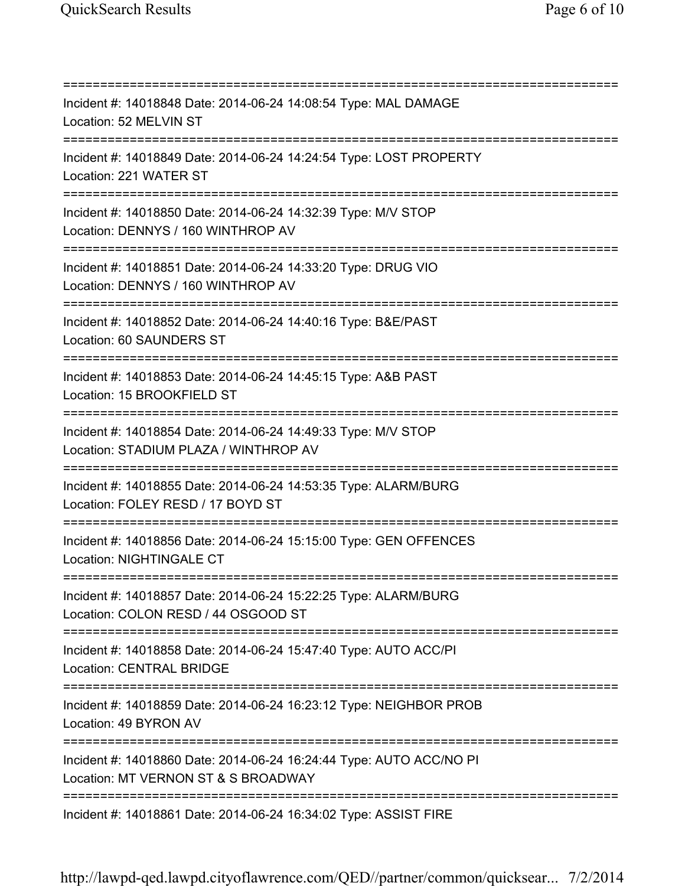=========================================================================== Incident #: 14018848 Date: 2014-06-24 14:08:54 Type: MAL DAMAGE Location: 52 MELVIN ST =========================================================================== Incident #: 14018849 Date: 2014-06-24 14:24:54 Type: LOST PROPERTY Location: 221 WATER ST =========================================================================== Incident #: 14018850 Date: 2014-06-24 14:32:39 Type: M/V STOP Location: DENNYS / 160 WINTHROP AV =========================================================================== Incident #: 14018851 Date: 2014-06-24 14:33:20 Type: DRUG VIO Location: DENNYS / 160 WINTHROP AV =========================================================================== Incident #: 14018852 Date: 2014-06-24 14:40:16 Type: B&E/PAST Location: 60 SAUNDERS ST =========================================================================== Incident #: 14018853 Date: 2014-06-24 14:45:15 Type: A&B PAST Location: 15 BROOKFIELD ST =========================================================================== Incident #: 14018854 Date: 2014-06-24 14:49:33 Type: M/V STOP Location: STADIUM PLAZA / WINTHROP AV =========================================================================== Incident #: 14018855 Date: 2014-06-24 14:53:35 Type: ALARM/BURG Location: FOLEY RESD / 17 BOYD ST =========================================================================== Incident #: 14018856 Date: 2014-06-24 15:15:00 Type: GEN OFFENCES Location: NIGHTINGALE CT =========================================================================== Incident #: 14018857 Date: 2014-06-24 15:22:25 Type: ALARM/BURG Location: COLON RESD / 44 OSGOOD ST =========================================================================== Incident #: 14018858 Date: 2014-06-24 15:47:40 Type: AUTO ACC/PI Location: CENTRAL BRIDGE =========================================================================== Incident #: 14018859 Date: 2014-06-24 16:23:12 Type: NEIGHBOR PROB Location: 49 BYRON AV =========================================================================== Incident #: 14018860 Date: 2014-06-24 16:24:44 Type: AUTO ACC/NO PI Location: MT VERNON ST & S BROADWAY =========================================================================== Incident #: 14018861 Date: 2014-06-24 16:34:02 Type: ASSIST FIRE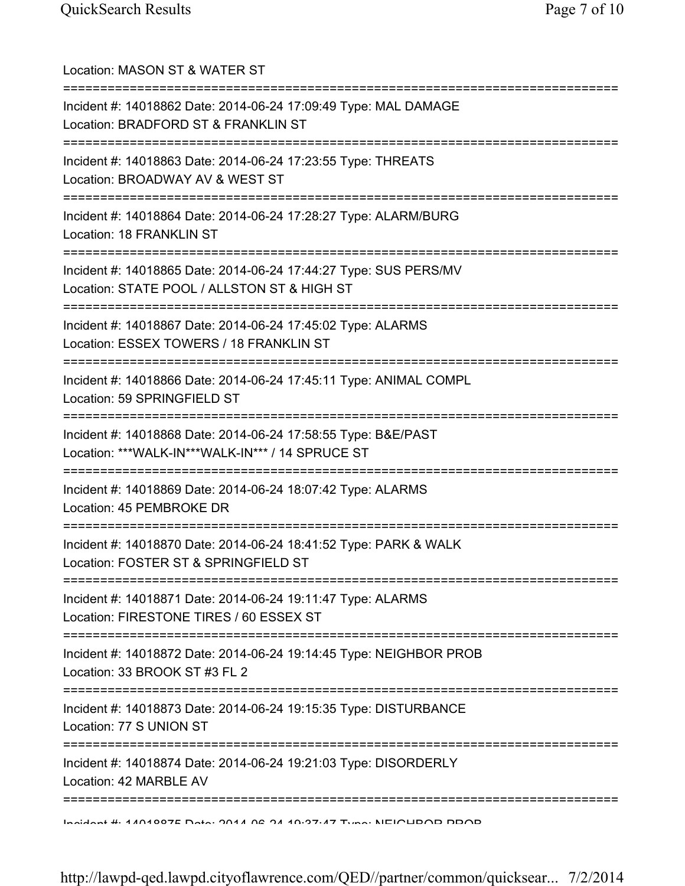| Location: MASON ST & WATER ST                                                                                                        |
|--------------------------------------------------------------------------------------------------------------------------------------|
| Incident #: 14018862 Date: 2014-06-24 17:09:49 Type: MAL DAMAGE<br>Location: BRADFORD ST & FRANKLIN ST                               |
| Incident #: 14018863 Date: 2014-06-24 17:23:55 Type: THREATS<br>Location: BROADWAY AV & WEST ST                                      |
| Incident #: 14018864 Date: 2014-06-24 17:28:27 Type: ALARM/BURG<br>Location: 18 FRANKLIN ST<br>===================================== |
| Incident #: 14018865 Date: 2014-06-24 17:44:27 Type: SUS PERS/MV<br>Location: STATE POOL / ALLSTON ST & HIGH ST                      |
| Incident #: 14018867 Date: 2014-06-24 17:45:02 Type: ALARMS<br>Location: ESSEX TOWERS / 18 FRANKLIN ST                               |
| Incident #: 14018866 Date: 2014-06-24 17:45:11 Type: ANIMAL COMPL<br>Location: 59 SPRINGFIELD ST                                     |
| ==============<br>Incident #: 14018868 Date: 2014-06-24 17:58:55 Type: B&E/PAST<br>Location: ***WALK-IN***WALK-IN*** / 14 SPRUCE ST  |
| Incident #: 14018869 Date: 2014-06-24 18:07:42 Type: ALARMS<br>Location: 45 PEMBROKE DR                                              |
| Incident #: 14018870 Date: 2014-06-24 18:41:52 Type: PARK & WALK<br>Location: FOSTER ST & SPRINGFIELD ST                             |
| Incident #: 14018871 Date: 2014-06-24 19:11:47 Type: ALARMS<br>Location: FIRESTONE TIRES / 60 ESSEX ST                               |
| Incident #: 14018872 Date: 2014-06-24 19:14:45 Type: NEIGHBOR PROB<br>Location: 33 BROOK ST #3 FL 2                                  |
| Incident #: 14018873 Date: 2014-06-24 19:15:35 Type: DISTURBANCE<br>Location: 77 S UNION ST                                          |
| Incident #: 14018874 Date: 2014-06-24 19:21:03 Type: DISORDERLY<br>Location: 42 MARBLE AV                                            |
| <u>Indident #: 14010075 Deta: 2014 06 24 10:27:47 Tune: NEICUDOD DDOD</u>                                                            |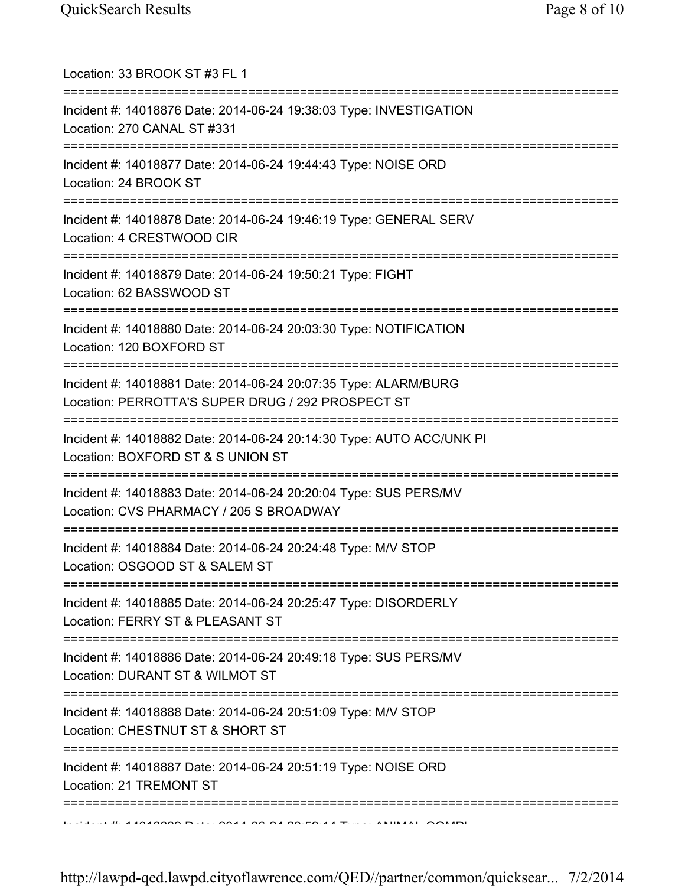| Location: 33 BROOK ST #3 FL 1<br>;===============================                                                                    |
|--------------------------------------------------------------------------------------------------------------------------------------|
| Incident #: 14018876 Date: 2014-06-24 19:38:03 Type: INVESTIGATION<br>Location: 270 CANAL ST #331                                    |
| Incident #: 14018877 Date: 2014-06-24 19:44:43 Type: NOISE ORD<br>Location: 24 BROOK ST<br>:================================         |
| Incident #: 14018878 Date: 2014-06-24 19:46:19 Type: GENERAL SERV<br>Location: 4 CRESTWOOD CIR                                       |
| Incident #: 14018879 Date: 2014-06-24 19:50:21 Type: FIGHT<br>Location: 62 BASSWOOD ST                                               |
| Incident #: 14018880 Date: 2014-06-24 20:03:30 Type: NOTIFICATION<br>Location: 120 BOXFORD ST                                        |
| Incident #: 14018881 Date: 2014-06-24 20:07:35 Type: ALARM/BURG<br>Location: PERROTTA'S SUPER DRUG / 292 PROSPECT ST                 |
| Incident #: 14018882 Date: 2014-06-24 20:14:30 Type: AUTO ACC/UNK PI<br>Location: BOXFORD ST & S UNION ST                            |
| Incident #: 14018883 Date: 2014-06-24 20:20:04 Type: SUS PERS/MV<br>Location: CVS PHARMACY / 205 S BROADWAY                          |
| =================================<br>Incident #: 14018884 Date: 2014-06-24 20:24:48 Type: M/V STOP<br>Location: OSGOOD ST & SALEM ST |
| Incident #: 14018885 Date: 2014-06-24 20:25:47 Type: DISORDERLY<br>Location: FERRY ST & PLEASANT ST                                  |
| Incident #: 14018886 Date: 2014-06-24 20:49:18 Type: SUS PERS/MV<br>Location: DURANT ST & WILMOT ST                                  |
| Incident #: 14018888 Date: 2014-06-24 20:51:09 Type: M/V STOP<br>Location: CHESTNUT ST & SHORT ST                                    |
| Incident #: 14018887 Date: 2014-06-24 20:51:19 Type: NOISE ORD<br>Location: 21 TREMONT ST                                            |
| ====================                                                                                                                 |

http://lawpd-qed.lawpd.cityoflawrence.com/QED//partner/common/quicksear... 7/2/2014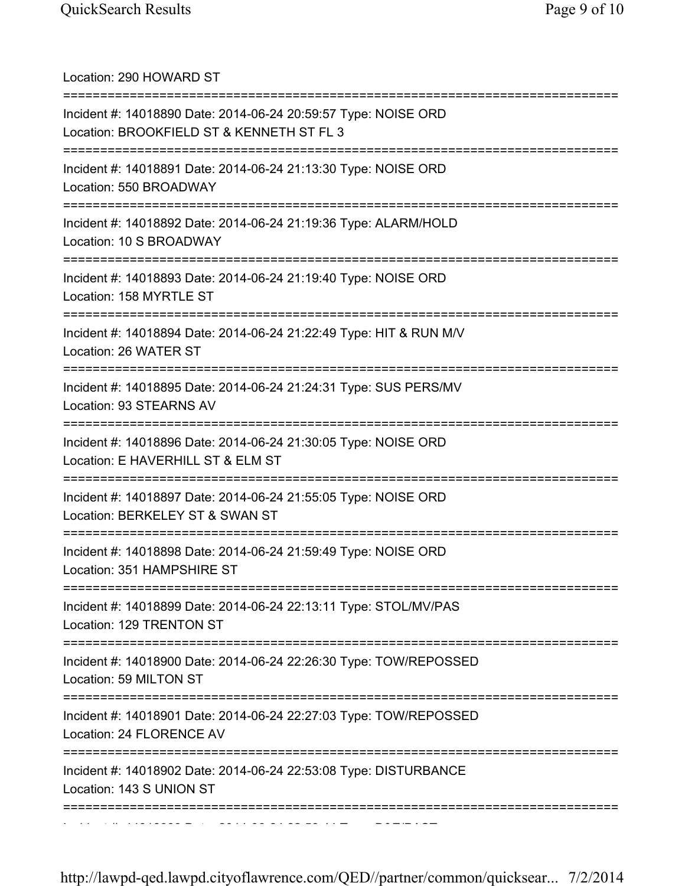| Location: 290 HOWARD ST<br>======================                                                                             |
|-------------------------------------------------------------------------------------------------------------------------------|
| Incident #: 14018890 Date: 2014-06-24 20:59:57 Type: NOISE ORD<br>Location: BROOKFIELD ST & KENNETH ST FL 3                   |
| Incident #: 14018891 Date: 2014-06-24 21:13:30 Type: NOISE ORD<br>Location: 550 BROADWAY                                      |
| Incident #: 14018892 Date: 2014-06-24 21:19:36 Type: ALARM/HOLD<br>Location: 10 S BROADWAY                                    |
| Incident #: 14018893 Date: 2014-06-24 21:19:40 Type: NOISE ORD<br>Location: 158 MYRTLE ST                                     |
| Incident #: 14018894 Date: 2014-06-24 21:22:49 Type: HIT & RUN M/V<br>Location: 26 WATER ST                                   |
| Incident #: 14018895 Date: 2014-06-24 21:24:31 Type: SUS PERS/MV<br>Location: 93 STEARNS AV                                   |
| Incident #: 14018896 Date: 2014-06-24 21:30:05 Type: NOISE ORD<br>Location: E HAVERHILL ST & ELM ST                           |
| Incident #: 14018897 Date: 2014-06-24 21:55:05 Type: NOISE ORD<br>Location: BERKELEY ST & SWAN ST                             |
| =============================<br>Incident #: 14018898 Date: 2014-06-24 21:59:49 Type: NOISE ORD<br>Location: 351 HAMPSHIRE ST |
| Incident #: 14018899 Date: 2014-06-24 22:13:11 Type: STOL/MV/PAS<br>Location: 129 TRENTON ST                                  |
| Incident #: 14018900 Date: 2014-06-24 22:26:30 Type: TOW/REPOSSED<br>Location: 59 MILTON ST                                   |
| Incident #: 14018901 Date: 2014-06-24 22:27:03 Type: TOW/REPOSSED<br>Location: 24 FLORENCE AV                                 |
| Incident #: 14018902 Date: 2014-06-24 22:53:08 Type: DISTURBANCE<br>Location: 143 S UNION ST                                  |
|                                                                                                                               |

http://lawpd-qed.lawpd.cityoflawrence.com/QED//partner/common/quicksear... 7/2/2014

Incident #: 14018903 Date: 2014 06 24 22:58:44 Type: B&E/PAST